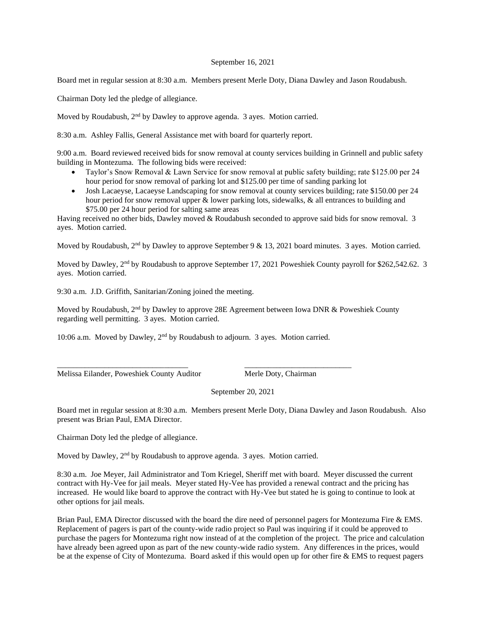## September 16, 2021

Board met in regular session at 8:30 a.m. Members present Merle Doty, Diana Dawley and Jason Roudabush.

Chairman Doty led the pledge of allegiance.

Moved by Roudabush, 2<sup>nd</sup> by Dawley to approve agenda. 3 ayes. Motion carried.

8:30 a.m. Ashley Fallis, General Assistance met with board for quarterly report.

9:00 a.m. Board reviewed received bids for snow removal at county services building in Grinnell and public safety building in Montezuma. The following bids were received:

- Taylor's Snow Removal & Lawn Service for snow removal at public safety building; rate \$125.00 per 24 hour period for snow removal of parking lot and \$125.00 per time of sanding parking lot
- Josh Lacaeyse, Lacaeyse Landscaping for snow removal at county services building; rate \$150.00 per 24 hour period for snow removal upper & lower parking lots, sidewalks, & all entrances to building and \$75.00 per 24 hour period for salting same areas

Having received no other bids, Dawley moved & Roudabush seconded to approve said bids for snow removal. 3 ayes. Motion carried.

Moved by Roudabush, 2<sup>nd</sup> by Dawley to approve September 9 & 13, 2021 board minutes. 3 ayes. Motion carried.

Moved by Dawley, 2<sup>nd</sup> by Roudabush to approve September 17, 2021 Poweshiek County payroll for \$262,542.62. 3 ayes. Motion carried.

9:30 a.m. J.D. Griffith, Sanitarian/Zoning joined the meeting.

Moved by Roudabush,  $2<sup>nd</sup>$  by Dawley to approve 28E Agreement between Iowa DNR & Poweshiek County regarding well permitting. 3 ayes. Motion carried.

10:06 a.m. Moved by Dawley, 2nd by Roudabush to adjourn. 3 ayes. Motion carried.

\_\_\_\_\_\_\_\_\_\_\_\_\_\_\_\_\_\_\_\_\_\_\_\_\_\_\_\_\_\_\_\_\_ \_\_\_\_\_\_\_\_\_\_\_\_\_\_\_\_\_\_\_\_\_\_\_\_\_\_\_

Melissa Eilander, Poweshiek County Auditor Merle Doty, Chairman

September 20, 2021

Board met in regular session at 8:30 a.m. Members present Merle Doty, Diana Dawley and Jason Roudabush. Also present was Brian Paul, EMA Director.

Chairman Doty led the pledge of allegiance.

Moved by Dawley, 2<sup>nd</sup> by Roudabush to approve agenda. 3 ayes. Motion carried.

8:30 a.m. Joe Meyer, Jail Administrator and Tom Kriegel, Sheriff met with board. Meyer discussed the current contract with Hy-Vee for jail meals. Meyer stated Hy-Vee has provided a renewal contract and the pricing has increased. He would like board to approve the contract with Hy-Vee but stated he is going to continue to look at other options for jail meals.

Brian Paul, EMA Director discussed with the board the dire need of personnel pagers for Montezuma Fire & EMS. Replacement of pagers is part of the county-wide radio project so Paul was inquiring if it could be approved to purchase the pagers for Montezuma right now instead of at the completion of the project. The price and calculation have already been agreed upon as part of the new county-wide radio system. Any differences in the prices, would be at the expense of City of Montezuma. Board asked if this would open up for other fire & EMS to request pagers